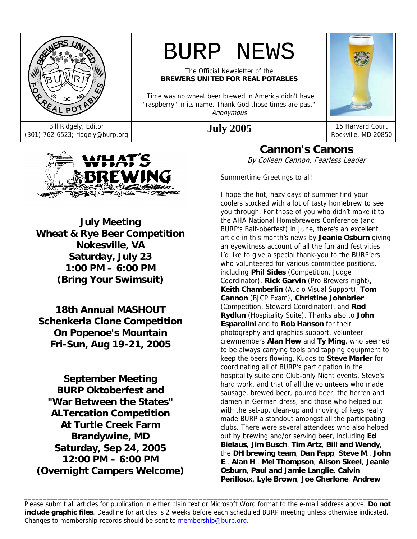

# BURP NEWS

The Official Newsletter of the **BREWERS UNITED FOR REAL POTABLES** 

"Time was no wheat beer brewed in America didn't have "raspberry" in its name. Thank God those times are past" Anonymous



Bill Ridgely, Editor **July 2005** 15 Harvard Court (301) 762-6523; ridgely@burp.org **July 2005** Rockville, MD 20850



**July Meeting Wheat & Rye Beer Competition Nokesville, VA Saturday, July 23 1:00 PM – 6:00 PM (Bring Your Swimsuit)** 

**18th Annual MASHOUT Schenkerla Clone Competition On Popenoe's Mountain Fri-Sun, Aug 19-21, 2005** 

**September Meeting BURP Oktoberfest and "War Between the States" ALTercation Competition At Turtle Creek Farm Brandywine, MD Saturday, Sep 24, 2005 12:00 PM – 6:00 PM (Overnight Campers Welcome)** 

**Cannon's Canons**  By Colleen Cannon, Fearless Leader

Summertime Greetings to all!

I hope the hot, hazy days of summer find your coolers stocked with a lot of tasty homebrew to see you through. For those of you who didn't make it to the AHA National Homebrewers Conference (and BURP's Balt-oberfest) in June, there's an excellent article in this month's news by **Jeanie Osburn** giving an eyewitness account of all the fun and festivities. I'd like to give a special thank-you to the BURP'ers who volunteered for various committee positions, including **Phil Sides** (Competition, Judge Coordinator), **Rick Garvin** (Pro Brewers night), **Keith Chamberlin** (Audio Visual Support), **Tom Cannon** (BJCP Exam), **Christine Johnbrier** (Competition, Steward Coordinator), and **Rod Rydlun** (Hospitality Suite). Thanks also to **John Esparolini** and to **Rob Hanson** for their photography and graphics support, volunteer crewmembers **Alan Hew** and **Ty Ming**, who seemed to be always carrying tools and tapping equipment to keep the beers flowing. Kudos to **Steve Marler** for coordinating all of BURP's participation in the hospitality suite and Club-only Night events. Steve's hard work, and that of all the volunteers who made sausage, brewed beer, poured beer, the herren and damen in German dress, and those who helped out with the set-up, clean-up and moving of kegs really made BURP a standout amongst all the participating clubs. There were several attendees who also helped out by brewing and/or serving beer, including **Ed Bielaus**, **Jim Busch**, **Tim Artz**, **Bill and Wendy**, the **DH brewing team**, **Dan Fapp**, **Steve M**., **John E**., **Alan H**., **Mel Thompson**, **Alison Skeel**, **Jeanie Osburn**, **Paul and Jamie Langlie**, **Calvin Perilloux**, **Lyle Brown**, **Joe Gherlone**, **Andrew** 

\_\_\_\_\_\_\_\_\_\_\_\_\_\_\_\_\_\_\_\_\_\_\_\_\_\_\_\_\_\_\_\_\_\_\_\_\_\_\_\_\_\_\_\_\_\_\_\_\_\_\_\_\_\_\_\_\_\_\_\_\_\_\_\_\_\_\_\_\_\_\_\_\_\_\_\_\_\_\_\_\_\_\_\_\_\_\_\_\_\_\_\_\_\_\_\_\_\_ Please submit all articles for publication in either plain text or Microsoft Word format to the e-mail address above. **Do not include graphic files**. Deadline for articles is 2 weeks before each scheduled BURP meeting unless otherwise indicated. Changes to membership records should be sent to membership@burp.org.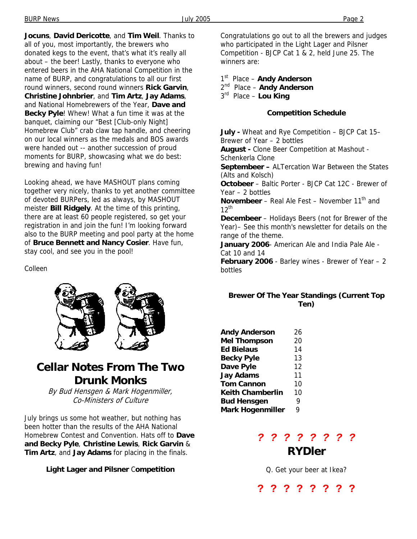**Jocuns**, **David Dericotte**, and **Tim Weil**. Thanks to all of you, most importantly, the brewers who donated kegs to the event, that's what it's really all about – the beer! Lastly, thanks to everyone who entered beers in the AHA National Competition in the name of BURP, and congratulations to all our first round winners, second round winners **Rick Garvin**, **Christine Johnbrier**, and **Tim Artz**, **Jay Adams**, and National Homebrewers of the Year, **Dave and Becky Pyle**! Whew! What a fun time it was at the banquet, claiming our "Best [Club-only Night] Homebrew Club" crab claw tap handle, and cheering on our local winners as the medals and BOS awards were handed out -- another succession of proud moments for BURP, showcasing what we do best: brewing and having fun!

Looking ahead, we have MASHOUT plans coming together very nicely, thanks to yet another committee of devoted BURPers, led as always, by MASHOUT meister **Bill Ridgely**. At the time of this printing, there are at least 60 people registered, so get your registration in and join the fun! I'm looking forward also to the BURP meeting and pool party at the home of **Bruce Bennett and Nancy Cosier**. Have fun, stay cool, and see you in the pool!

Colleen



# **Cellar Notes From The Two Drunk Monks**

By Bud Hensgen & Mark Hogenmiller, Co-Ministers of Culture

July brings us some hot weather, but nothing has been hotter than the results of the AHA National Homebrew Contest and Convention. Hats off to **Dave and Becky Pyle**, **Christine Lewis**, **Rick Garvin** & **Tim Artz**, and **Jay Adams** for placing in the finals.

**Light Lager and Pilsner** C**ompetition** 

Congratulations go out to all the brewers and judges who participated in the Light Lager and Pilsner Competition - BJCP Cat 1 & 2, held June 25. The winners are:

1st Place – **Andy Anderson**

2nd Place – **Andy Anderson**

3rd Place – **Lou King**

### **Competition Schedule**

**July -** Wheat and Rye Competition – BJCP Cat 15– Brewer of Year – 2 bottles **August -** Clone Beer Competition at Mashout - Schenkerla Clone **Septembeer –** ALTercation War Between the States (Alts and Kolsch) **Octobeer** – Baltic Porter - BJCP Cat 12C - Brewer of Year – 2 bottles **Novembeer** – Real Ale Fest – November 11<sup>th</sup> and  $12^{th}$ **Decembeer** – Holidays Beers (not for Brewer of the Year)– See this month's newsletter for details on the range of the theme. **January 2006**- American Ale and India Pale Ale - Cat 10 and 14 **February 2006** - Barley wines - Brewer of Year – 2 bottles

### **Brewer Of The Year Standings (Current Top Ten)**

| <b>Andy Anderson</b>    | 26 |
|-------------------------|----|
| <b>Mel Thompson</b>     | 20 |
| Ed Bielaus              | 14 |
| <b>Becky Pyle</b>       | 13 |
| Dave Pyle               | 12 |
| <b>Jay Adams</b>        | 11 |
| <b>Tom Cannon</b>       | 10 |
| <b>Keith Chamberlin</b> | 10 |
| <b>Bud Hensgen</b>      | 9  |
| <b>Mark Hogenmiller</b> | 9  |

### *? ? ? ? ? ? ? ?*  **RYDler**

Q. Get your beer at Ikea?

**? ? ? ? ? ? ? ?**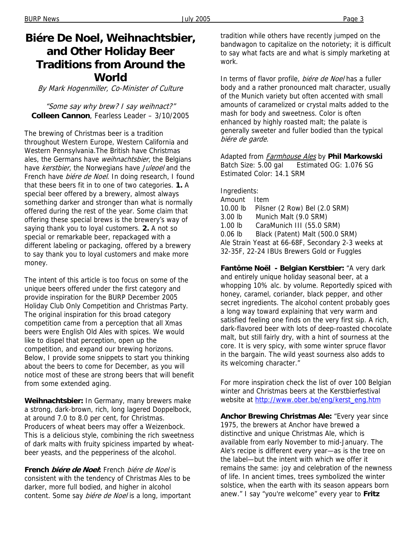# **Biére De Noel, Weihnachtsbier, and Other Holiday Beer Traditions from Around the World**

By Mark Hogenmiller, Co-Minister of Culture

"Some say why brew? I say weihnact?" **Colleen Cannon**, Fearless Leader – 3/10/2005

The brewing of Christmas beer is a tradition throughout Western Europe, Western California and Western Pennsylvania.The British have Christmas ales, the Germans have *weihnachtsbier*, the Belgians have kerstbier, the Norwegians have Juleoel and the French have *biére de Noel*. In doing research, I found that these beers fit in to one of two categories. **1.** A special beer offered by a brewery, almost always something darker and stronger than what is normally offered during the rest of the year. Some claim that offering these special brews is the brewery's way of saying thank you to loyal customers. **2.** A not so special or remarkable beer, repackaged with a different labeling or packaging, offered by a brewery to say thank you to loyal customers and make more money.

The intent of this article is too focus on some of the unique beers offered under the first category and provide inspiration for the BURP December 2005 Holiday Club Only Competition and Christmas Party. The original inspiration for this broad category competition came from a perception that all Xmas beers were English Old Ales with spices. We would like to dispel that perception, open up the competition, and expand our brewing horizons. Below, I provide some snippets to start you thinking about the beers to come for December, as you will notice most of these are strong beers that will benefit from some extended aging.

**Weihnachtsbier:** In Germany, many brewers make a strong, dark-brown, rich, long lagered Doppelbock, at around 7.0 to 8.0 per cent, for Christmas. Producers of wheat beers may offer a Weizenbock. This is a delicious style, combining the rich sweetness of dark malts with fruity spiciness imparted by wheatbeer yeasts, and the pepperiness of the alcohol.

**French biére de Noel:** French biére de Noel is consistent with the tendency of Christmas Ales to be darker, more full bodied, and higher in alcohol content. Some say *biére de Noel* is a long, important tradition while others have recently jumped on the bandwagon to capitalize on the notoriety; it is difficult to say what facts are and what is simply marketing at work.

In terms of flavor profile, biére de Noel has a fuller body and a rather pronounced malt character, usually of the Munich variety but often accented with small amounts of caramelized or crystal malts added to the mash for body and sweetness. Color is often enhanced by highly roasted malt; the palate is generally sweeter and fuller bodied than the typical biére de garde.

Adapted from Farmhouse Ales by **Phil Markowski** Batch Size: 5.00 gal Estimated OG: 1.076 SG Estimated Color: 14.1 SRM

Ingredients: Amount Item 10.00 lb Pilsner (2 Row) Bel (2.0 SRM) 3.00 lb Munich Malt (9.0 SRM) 1.00 lb CaraMunich III (55.0 SRM) 0.06 lb Black (Patent) Malt (500.0 SRM) Ale Strain Yeast at 66-68F, Secondary 2-3 weeks at 32-35F, 22-24 IBUs Brewers Gold or Fuggles

**Fantôme Noël - Belgian Kerstbier:** "A very dark and entirely unique holiday seasonal beer, at a whopping 10% alc. by volume. Reportedly spiced with honey, caramel, coriander, black pepper, and other secret ingredients. The alcohol content probably goes a long way toward explaining that very warm and satisfied feeling one finds on the very first sip. A rich, dark-flavored beer with lots of deep-roasted chocolate malt, but still fairly dry, with a hint of sourness at the core. It is very spicy, with some winter spruce flavor in the bargain. The wild yeast sourness also adds to its welcoming character."

For more inspiration check the list of over 100 Belgian winter and Christmas beers at the Kerstbierfestival website at http://www.ober.be/eng/kerst\_eng.htm

**Anchor Brewing Christmas Ale:** "Every year since 1975, the brewers at Anchor have brewed a distinctive and unique Christmas Ale, which is available from early November to mid-January. The Ale's recipe is different every year—as is the tree on the label—but the intent with which we offer it remains the same: joy and celebration of the newness of life. In ancient times, trees symbolized the winter solstice, when the earth with its season appears born anew." I say "you're welcome" every year to **Fritz**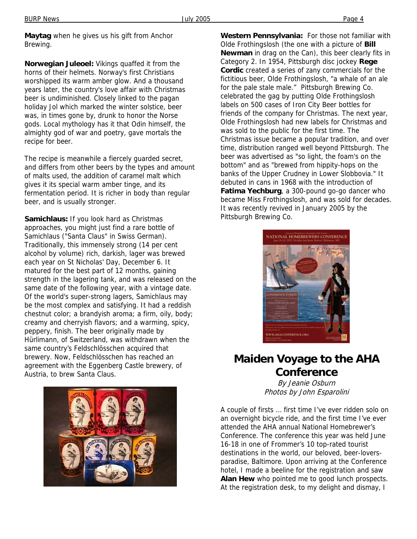**Maytag** when he gives us his gift from Anchor Brewing.

**Norwegian Juleoel:** Vikings quaffed it from the horns of their helmets. Norway's first Christians worshipped its warm amber glow. And a thousand years later, the country's love affair with Christmas beer is undiminished. Closely linked to the pagan holiday Jol which marked the winter solstice, beer was, in times gone by, drunk to honor the Norse gods. Local mythology has it that Odin himself, the almighty god of war and poetry, gave mortals the recipe for beer.

The recipe is meanwhile a fiercely guarded secret, and differs from other beers by the types and amount of malts used, the addition of caramel malt which gives it its special warm amber tinge, and its fermentation period. It is richer in body than regular beer, and is usually stronger.

**Samichlaus:** If you look hard as Christmas approaches, you might just find a rare bottle of Samichlaus ("Santa Claus" in Swiss German). Traditionally, this immensely strong (14 per cent alcohol by volume) rich, darkish, lager was brewed each year on St Nicholas' Day, December 6. It matured for the best part of 12 months, gaining strength in the lagering tank, and was released on the same date of the following year, with a vintage date. Of the world's super-strong lagers, Samichlaus may be the most complex and satisfying. It had a reddish chestnut color; a brandyish aroma; a firm, oily, body; creamy and cherryish flavors; and a warming, spicy, peppery, finish. The beer originally made by Hürlimann, of Switzerland, was withdrawn when the same country's Feldschlösschen acquired that brewery. Now, Feldschlösschen has reached an agreement with the Eggenberg Castle brewery, of Austria, to brew Santa Claus.



**Western Pennsylvania:** For those not familiar with Olde Frothingslosh (the one with a picture of **Bill Newman** in drag on the Can), this beer clearly fits in Category 2. In 1954, Pittsburgh disc jockey **Rege Cordic** created a series of zany commercials for the fictitious beer, Olde Frothingslosh, "a whale of an ale for the pale stale male." Pittsburgh Brewing Co. celebrated the gag by putting Olde Frothingslosh labels on 500 cases of Iron City Beer bottles for friends of the company for Christmas. The next year, Olde Frothingslosh had new labels for Christmas and was sold to the public for the first time. The Christmas issue became a popular tradition, and over time, distribution ranged well beyond Pittsburgh. The beer was advertised as "so light, the foam's on the bottom" and as "brewed from hippity-hops on the banks of the Upper Crudney in Lower Slobbovia." It debuted in cans in 1968 with the introduction of **Fatima Yechburg**, a 300-pound go-go dancer who became Miss Frothingslosh, and was sold for decades. It was recently revived in January 2005 by the Pittsburgh Brewing Co.



## **Maiden Voyage to the AHA Conference**

By Jeanie Osburn Photos by John Esparolini

A couple of firsts … first time I've ever ridden solo on an overnight bicycle ride, and the first time I've ever attended the AHA annual National Homebrewer's Conference. The conference this year was held June 16-18 in one of Frommer's 10 top-rated tourist destinations in the world, our beloved, beer-loversparadise, Baltimore. Upon arriving at the Conference hotel, I made a beeline for the registration and saw **Alan Hew** who pointed me to good lunch prospects. At the registration desk, to my delight and dismay, I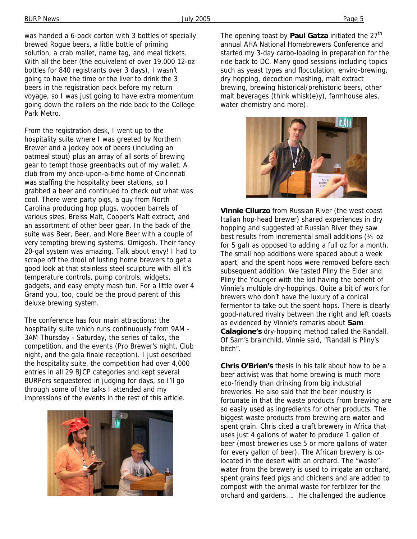was handed a 6-pack carton with 3 bottles of specially brewed Rogue beers, a little bottle of priming solution, a crab mallet, name tag, and meal tickets. With all the beer (the equivalent of over 19,000 12-oz bottles for 840 registrants over 3 days), I wasn't going to have the time or the liver to drink the 3 beers in the registration pack before my return voyage, so I was just going to have extra momentum going down the rollers on the ride back to the College Park Metro.

From the registration desk, I went up to the hospitality suite where I was greeted by Northern Brewer and a jockey box of beers (including an oatmeal stout) plus an array of all sorts of brewing gear to tempt those greenbacks out of my wallet. A club from my once-upon-a-time home of Cincinnati was staffing the hospitality beer stations, so I grabbed a beer and continued to check out what was cool. There were party pigs, a guy from North Carolina producing hop plugs, wooden barrels of various sizes, Breiss Malt, Cooper's Malt extract, and an assortment of other beer gear. In the back of the suite was Beer, Beer, and More Beer with a couple of very tempting brewing systems. Omigosh. Their fancy 20-gal system was amazing. Talk about envy! I had to scrape off the drool of lusting home brewers to get a good look at that stainless steel sculpture with all it's temperature controls, pump controls, widgets, gadgets, and easy empty mash tun. For a little over 4 Grand you, too, could be the proud parent of this deluxe brewing system.

The conference has four main attractions; the hospitality suite which runs continuously from 9AM - 3AM Thursday - Saturday, the series of talks, the competition, and the events (Pro Brewer's night, Club night, and the gala finale reception). I just described the hospitality suite, the competition had over 4,000 entries in all 29 BJCP categories and kept several BURPers sequestered in judging for days, so I'll go through some of the talks I attended and my impressions of the events in the rest of this article.



The opening toast by **Paul Gatza** initiated the 27<sup>th</sup> annual AHA National Homebrewers Conference and started my 3-day carbo-loading in preparation for the ride back to DC. Many good sessions including topics such as yeast types and flocculation, enviro-brewing, dry hopping, decoction mashing, malt extract brewing, brewing historical/prehistoric beers, other malt beverages (think whisk(e)y), farmhouse ales, water chemistry and more).



**Vinnie Cilurzo** from Russian River (the west coast Italian hop-head brewer) shared experiences in dry hopping and suggested at Russian River they saw best results from incremental small additions (¼ oz for 5 gal) as opposed to adding a full oz for a month. The small hop additions were spaced about a week apart, and the spent hops were removed before each subsequent addition. We tasted Pliny the Elder and Pliny the Younger with the kid having the benefit of Vinnie's multiple dry-hoppings. Quite a bit of work for brewers who don't have the luxury of a conical fermentor to take out the spent hops. There is clearly good-natured rivalry between the right and left coasts as evidenced by Vinnie's remarks about **Sam Calagione's** dry-hopping method called the Randall. Of Sam's brainchild, Vinnie said, "Randall is Pliny's bitch".

**Chris O'Brien's** thesis in his talk about how to be a beer activist was that home brewing is much more eco-friendly than drinking from big industrial breweries. He also said that the beer industry is fortunate in that the waste products from brewing are so easily used as ingredients for other products. The biggest waste products from brewing are water and spent grain. Chris cited a craft brewery in Africa that uses just 4 gallons of water to produce 1 gallon of beer (most breweries use 5 or more gallons of water for every gallon of beer). The African brewery is colocated in the desert with an orchard. The "waste" water from the brewery is used to irrigate an orchard, spent grains feed pigs and chickens and are added to compost with the animal waste for fertilizer for the orchard and gardens…. He challenged the audience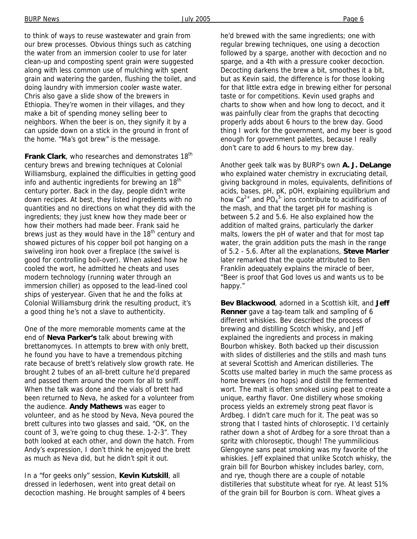to think of ways to reuse wastewater and grain from our brew processes. Obvious things such as catching the water from an immersion cooler to use for later clean-up and composting spent grain were suggested along with less common use of mulching with spent grain and watering the garden, flushing the toilet, and doing laundry with immersion cooler waste water. Chris also gave a slide show of the brewers in Ethiopia. They're women in their villages, and they make a bit of spending money selling beer to neighbors. When the beer is on, they signify it by a can upside down on a stick in the ground in front of the home. "Ma's got brew" is the message.

**Frank Clark**, who researches and demonstrates 18<sup>th</sup> century brews and brewing techniques at Colonial Williamsburg, explained the difficulties in getting good info and authentic ingredients for brewing an 18<sup>th</sup> century porter. Back in the day, people didn't write down recipes. At best, they listed ingredients with no quantities and no directions on what they did with the ingredients; they just knew how they made beer or how their mothers had made beer. Frank said he brews just as they would have in the  $18<sup>th</sup>$  century and showed pictures of his copper boil pot hanging on a swiveling iron hook over a fireplace (the swivel is good for controlling boil-over). When asked how he cooled the wort, he admitted he cheats and uses modern technology (running water through an immersion chiller) as opposed to the lead-lined cool ships of yesteryear. Given that he and the folks at Colonial Williamsburg drink the resulting product, it's a good thing he's not a slave to authenticity.

One of the more memorable moments came at the end of **Neva Parker's** talk about brewing with brettanomyces. In attempts to brew with only brett, he found you have to have a tremendous pitching rate because of brett's relatively slow growth rate. He brought 2 tubes of an all-brett culture he'd prepared and passed them around the room for all to sniff. When the talk was done and the vials of brett had been returned to Neva, he asked for a volunteer from the audience. **Andy Mathews** was eager to volunteer, and as he stood by Neva, Neva poured the brett cultures into two glasses and said, "OK, on the count of 3, we're going to chug these. 1-2-3". They both looked at each other, and down the hatch. From Andy's expression, I don't think he enjoyed the brett as much as Neva did, but he didn't spit it out.

In a "for geeks only" session, **Kevin Kutskill**, all dressed in lederhosen, went into great detail on decoction mashing. He brought samples of 4 beers he'd brewed with the same ingredients; one with regular brewing techniques, one using a decoction followed by a sparge, another with decoction and no sparge, and a 4th with a pressure cooker decoction. Decocting darkens the brew a bit, smoothes it a bit, but as Kevin said, the difference is for those looking for that little extra edge in brewing either for personal taste or for competitions. Kevin used graphs and charts to show when and how long to decoct, and it was painfully clear from the graphs that decocting properly adds about 6 hours to the brew day. Good thing I work for the government, and my beer is good enough for government palettes, because I really don't care to add 6 hours to my brew day.

Another geek talk was by BURP's own **A. J. DeLange** who explained water chemistry in excruciating detail, giving background in moles, equivalents, definitions of acids, bases, pH, pK, pOH, explaining equilibrium and how  $Ca^{2+}$  and PO<sub>4</sub><sup>3</sup> ions contribute to acidification of the mash, and that the target pH for mashing is between 5.2 and 5.6. He also explained how the addition of malted grains, particularly the darker malts, lowers the pH of water and that for most tap water, the grain addition puts the mash in the range of 5.2 - 5.6. After all the explanations, **Steve Marler**  later remarked that the quote attributed to Ben Franklin adequately explains the miracle of beer, "Beer is proof that God loves us and wants us to be happy."

**Bev Blackwood**, adorned in a Scottish kilt, and **Jeff Renner** gave a tag-team talk and sampling of 6 different whiskies. Bev described the process of brewing and distilling Scotch whisky, and Jeff explained the ingredients and process in making Bourbon whiskey. Both backed up their discussion with slides of distilleries and the stills and mash tuns at several Scottish and American distilleries. The Scotts use malted barley in much the same process as home brewers (no hops) and distill the fermented wort. The malt is often smoked using peat to create a unique, earthy flavor. One distillery whose smoking process yields an extremely strong peat flavor is Ardbeg. I didn't care much for it. The peat was so strong that I tasted hints of chloroseptic. I'd certainly rather down a shot of Ardbeg for a sore throat than a spritz with chloroseptic, though! The yummilicious Glengoyne sans peat smoking was my favorite of the whiskies. Jeff explained that unlike Scotch whisky, the grain bill for Bourbon whiskey includes barley, corn, and rye, though there are a couple of notable distilleries that substitute wheat for rye. At least 51% of the grain bill for Bourbon is corn. Wheat gives a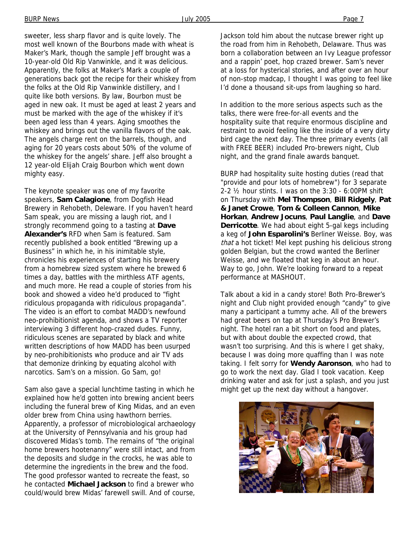sweeter, less sharp flavor and is quite lovely. The most well known of the Bourbons made with wheat is Maker's Mark, though the sample Jeff brought was a 10-year-old Old Rip Vanwinkle, and it was delicious. Apparently, the folks at Maker's Mark a couple of generations back got the recipe for their whiskey from the folks at the Old Rip Vanwinkle distillery, and I quite like both versions. By law, Bourbon must be aged in new oak. It must be aged at least 2 years and must be marked with the age of the whiskey if it's been aged less than 4 years. Aging smoothes the whiskey and brings out the vanilla flavors of the oak. The angels charge rent on the barrels, though, and aging for 20 years costs about 50% of the volume of the whiskey for the angels' share. Jeff also brought a 12 year-old Elijah Craig Bourbon which went down mighty easy.

The keynote speaker was one of my favorite speakers, **Sam Calagione**, from Dogfish Head Brewery in Rehobeth, Deleware. If you haven't heard Sam speak, you are missing a laugh riot, and I strongly recommend going to a tasting at **Dave Alexander's** RFD when Sam is featured. Sam recently published a book entitled "Brewing up a Business" in which he, in his inimitable style, chronicles his experiences of starting his brewery from a homebrew sized system where he brewed 6 times a day, battles with the mirthless ATF agents, and much more. He read a couple of stories from his book and showed a video he'd produced to "fight ridiculous propaganda with ridiculous propaganda". The video is an effort to combat MADD's newfound neo-prohibitionist agenda, and shows a TV reporter interviewing 3 different hop-crazed dudes. Funny, ridiculous scenes are separated by black and white written descriptions of how MADD has been usurped by neo-prohibitionists who produce and air TV ads that demonize drinking by equating alcohol with narcotics. Sam's on a mission. Go Sam, go!

Sam also gave a special lunchtime tasting in which he explained how he'd gotten into brewing ancient beers including the funeral brew of King Midas, and an even older brew from China using hawthorn berries. Apparently, a professor of microbiological archaeology at the University of Pennsylvania and his group had discovered Midas's tomb. The remains of "the original home brewers hootenanny" were still intact, and from the deposits and sludge in the crocks, he was able to determine the ingredients in the brew and the food. The good professor wanted to recreate the feast, so he contacted **Michael Jackson** to find a brewer who could/would brew Midas' farewell swill. And of course,

Jackson told him about the nutcase brewer right up the road from him in Rehobeth, Delaware. Thus was born a collaboration between an Ivy League professor and a rappin' poet, hop crazed brewer. Sam's never at a loss for hysterical stories, and after over an hour of non-stop madcap, I thought I was going to feel like I'd done a thousand sit-ups from laughing so hard.

In addition to the more serious aspects such as the talks, there were free-for-all events and the hospitality suite that require enormous discipline and restraint to avoid feeling like the inside of a very dirty bird cage the next day. The three primary events (all with FREE BEER) included Pro-brewers night, Club night, and the grand finale awards banquet.

BURP had hospitality suite hosting duties (read that "provide and pour lots of homebrew") for 3 separate 2-2 ½ hour stints. I was on the 3:30 - 6:00PM shift on Thursday with **Mel Thompson**, **Bill Ridgely**, **Pat & Janet Crowe**, **Tom & Colleen Cannon**, **Mike Horkan**, **Andrew Jocuns**, **Paul Langlie**, and **Dave Derricotte**. We had about eight 5-gal kegs including a keg of **John Esparolini's** Berliner Weisse. Boy, was that a hot ticket! Mel kept pushing his delicious strong golden Belgian, but the crowd wanted the Berliner Weisse, and we floated that keg in about an hour. Way to go, John. We're looking forward to a repeat performance at MASHOUT.

Talk about a kid in a candy store! Both Pro-Brewer's night and Club night provided enough "candy" to give many a participant a tummy ache. All of the brewers had great beers on tap at Thursday's Pro Brewer's night. The hotel ran a bit short on food and plates, but with about double the expected crowd, that wasn't too surprising. And this is where I get shaky, because I was doing more quaffing than I was note taking. I felt sorry for **Wendy Aaronson**, who had to go to work the next day. Glad I took vacation. Keep drinking water and ask for just a splash, and you just might get up the next day without a hangover.

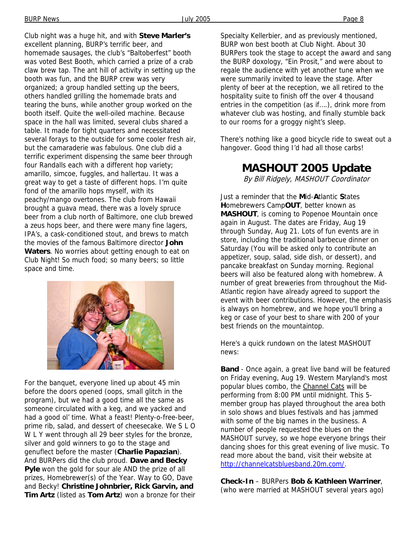Club night was a huge hit, and with **Steve Marler's** excellent planning, BURP's terrific beer, and homemade sausages, the club's "Baltoberfest" booth was voted Best Booth, which carried a prize of a crab claw brew tap. The ant hill of activity in setting up the booth was fun, and the BURP crew was very organized; a group handled setting up the beers, others handled grilling the homemade brats and tearing the buns, while another group worked on the booth itself. Quite the well-oiled machine. Because space in the hall was limited, several clubs shared a table. It made for tight quarters and necessitated several forays to the outside for some cooler fresh air, but the camaraderie was fabulous. One club did a terrific experiment dispensing the same beer through four Randalls each with a different hop variety; amarillo, simcoe, fuggles, and hallertau. It was a great way to get a taste of different hops. I'm quite fond of the amarillo hops myself, with its peachy/mango overtones. The club from Hawaii brought a guava mead, there was a lovely spruce beer from a club north of Baltimore, one club brewed a zeus hops beer, and there were many fine lagers, IPA's, a cask-conditioned stout, and brews to match the movies of the famous Baltimore director **John Waters**. No worries about getting enough to eat on Club Night! So much food; so many beers; so little space and time.



For the banquet, everyone lined up about 45 min before the doors opened (oops, small glitch in the program), but we had a good time all the same as someone circulated with a keg, and we yacked and had a good ol' time. What a feast! Plenty-o-free-beer, prime rib, salad, and dessert of cheesecake. We S L O W L Y went through all 29 beer styles for the bronze, silver and gold winners to go to the stage and genuflect before the master (**Charlie Papazian**). And BURPers did the club proud. **Dave and Becky Pyle** won the gold for sour ale AND the prize of all prizes, Homebrewer(s) of the Year. Way to GO, Dave and Becky! **Christine Johnbrier, Rick Garvin, and Tim Artz** (listed as **Tom Artz**) won a bronze for their Specialty Kellerbier, and as previously mentioned, BURP won best booth at Club Night. About 30 BURPers took the stage to accept the award and sang the BURP doxology, "Ein Prosit," and were about to regale the audience with yet another tune when we were summarily invited to leave the stage. After plenty of beer at the reception, we all retired to the hospitality suite to finish off the over 4 thousand entries in the competition (as if….), drink more from whatever club was hosting, and finally stumble back to our rooms for a groggy night's sleep.

There's nothing like a good bicycle ride to sweat out a hangover. Good thing I'd had all those carbs!

# **MASHOUT 2005 Update**

By Bill Ridgely, MASHOUT Coordinator

Just a reminder that the **M**id-**A**tlantic **S**tates **H**omebrewers Camp**OUT**, better known as **MASHOUT**, is coming to Popenoe Mountain once again in August. The dates are Friday, Aug 19 through Sunday, Aug 21. Lots of fun events are in store, including the traditional barbecue dinner on Saturday (You will be asked only to contribute an appetizer, soup, salad, side dish, or dessert), and pancake breakfast on Sunday morning. Regional beers will also be featured along with homebrew. A number of great breweries from throughout the Mid-Atlantic region have already agreed to support the event with beer contributions. However, the emphasis is always on homebrew, and we hope you'll bring a keg or case of your best to share with 200 of your best friends on the mountaintop.

Here's a quick rundown on the latest MASHOUT news:

**Band** - Once again, a great live band will be featured on Friday evening, Aug 19. Western Maryland's most popular blues combo, the Channel Cats will be performing from 8:00 PM until midnight. This 5 member group has played throughout the area both in solo shows and blues festivals and has jammed with some of the big names in the business. A number of people requested the blues on the MASHOUT survey, so we hope everyone brings their dancing shoes for this great evening of live music. To read more about the band, visit their website at http://channelcatsbluesband.20m.com/.

**Check-In** – BURPers **Bob & Kathleen Warriner**, (who were married at MASHOUT several years ago)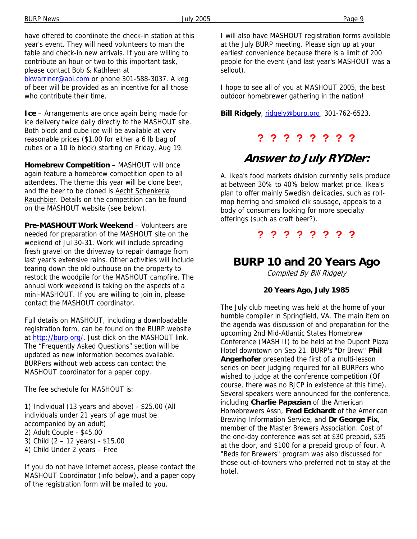have offered to coordinate the check-in station at this year's event. They will need volunteers to man the table and check-in new arrivals. If you are willing to contribute an hour or two to this important task, please contact Bob & Kathleen at bkwarriner@aol.com or phone 301-588-3037. A keg of beer will be provided as an incentive for all those who contribute their time.

**Ice** – Arrangements are once again being made for ice delivery twice daily directly to the MASHOUT site. Both block and cube ice will be available at very reasonable prices (\$1.00 for either a 6 lb bag of cubes or a 10 lb block) starting on Friday, Aug 19.

**Homebrew Competition** – MASHOUT will once again feature a homebrew competition open to all attendees. The theme this year will be clone beer, and the beer to be cloned is Aecht Schenkerla Rauchbier. Details on the competition can be found on the MASHOUT website (see below).

**Pre-MASHOUT Work Weekend** – Volunteers are needed for preparation of the MASHOUT site on the weekend of Jul 30-31. Work will include spreading fresh gravel on the driveway to repair damage from last year's extensive rains. Other activities will include tearing down the old outhouse on the property to restock the woodpile for the MASHOUT campfire. The annual work weekend is taking on the aspects of a mini-MASHOUT. If you are willing to join in, please contact the MASHOUT coordinator.

Full details on MASHOUT, including a downloadable registration form, can be found on the BURP website at http://burp.org/. Just click on the MASHOUT link. The "Frequently Asked Questions" section will be updated as new information becomes available. BURPers without web access can contact the MASHOUT coordinator for a paper copy.

The fee schedule for MASHOUT is:

1) Individual (13 years and above) - \$25.00 (All individuals under 21 years of age must be accompanied by an adult) 2) Adult Couple - \$45.00 3) Child (2 – 12 years) - \$15.00 4) Child Under 2 years – Free

If you do not have Internet access, please contact the MASHOUT Coordinator (info below), and a paper copy of the registration form will be mailed to you.

I will also have MASHOUT registration forms available at the July BURP meeting. Please sign up at your earliest convenience because there is a limit of 200 people for the event (and last year's MASHOUT was a sellout).

I hope to see all of you at MASHOUT 2005, the best outdoor homebrewer gathering in the nation!

**Bill Ridgely**, ridgely@burp.org, 301-762-6523.

### **? ? ? ? ? ? ? ?**

## **Answer to July RYDler:**

A. Ikea's food markets division currently sells produce at between 30% to 40% below market price. Ikea's plan to offer mainly Swedish delicacies, such as rollmop herring and smoked elk sausage, appeals to a body of consumers looking for more specialty offerings (such as craft beer?).

### **? ? ? ? ? ? ? ?**

## **BURP 10 and 20 Years Ago**

Compiled By Bill Ridgely

#### **20 Years Ago, July 1985**

The July club meeting was held at the home of your humble compiler in Springfield, VA. The main item on the agenda was discussion of and preparation for the upcoming 2nd Mid-Atlantic States Homebrew Conference (MASH II) to be held at the Dupont Plaza Hotel downtown on Sep 21. BURP's "Dr Brew" **Phil Angerhofer** presented the first of a multi-lesson series on beer judging required for all BURPers who wished to judge at the conference competition (Of course, there was no BJCP in existence at this time). Several speakers were announced for the conference, including **Charlie Papazian** of the American Homebrewers Assn, **Fred Eckhardt** of the American Brewing Information Service, and **Dr George Fix**, member of the Master Brewers Association. Cost of the one-day conference was set at \$30 prepaid, \$35 at the door, and \$100 for a prepaid group of four. A "Beds for Brewers" program was also discussed for those out-of-towners who preferred not to stay at the hotel.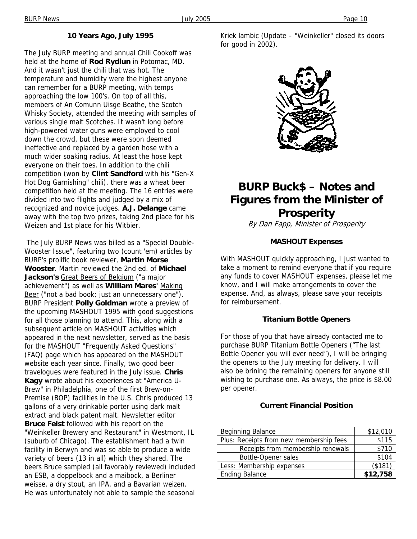### **10 Years Ago, July 1995**

The July BURP meeting and annual Chili Cookoff was held at the home of **Rod Rydlun** in Potomac, MD. And it wasn't just the chili that was hot. The temperature and humidity were the highest anyone can remember for a BURP meeting, with temps approaching the low 100's. On top of all this, members of An Comunn Uisge Beathe, the Scotch Whisky Society, attended the meeting with samples of various single malt Scotches. It wasn't long before high-powered water guns were employed to cool down the crowd, but these were soon deemed ineffective and replaced by a garden hose with a much wider soaking radius. At least the hose kept everyone on their toes. In addition to the chili competition (won by **Clint Sandford** with his "Gen-X Hot Dog Garnishing" chili), there was a wheat beer competition held at the meeting. The 16 entries were divided into two flights and judged by a mix of recognized and novice judges. **A.J. Delange** came away with the top two prizes, taking 2nd place for his Weizen and 1st place for his Witbier.

 The July BURP News was billed as a "Special Double-Wooster Issue", featuring two (count 'em) articles by BURP's prolific book reviewer, **Martin Morse Wooster**. Martin reviewed the 2nd ed. of **Michael Jackson's** Great Beers of Belgium ("a major achievement") as well as **William Mares'** Making Beer ("not a bad book; just an unnecessary one"). BURP President **Polly Goldman** wrote a preview of the upcoming MASHOUT 1995 with good suggestions for all those planning to attend. This, along with a subsequent article on MASHOUT activities which appeared in the next newsletter, served as the basis for the MASHOUT "Frequently Asked Questions" (FAQ) page which has appeared on the MASHOUT website each year since. Finally, two good beer travelogues were featured in the July issue. **Chris Kagy** wrote about his experiences at "America U-Brew" in Philadelphia, one of the first Brew-on-Premise (BOP) facilities in the U.S. Chris produced 13 gallons of a very drinkable porter using dark malt extract and black patent malt. Newsletter editor **Bruce Feist** followed with his report on the "Weinkeller Brewery and Restaurant" in Westmont, IL (suburb of Chicago). The establishment had a twin facility in Berwyn and was so able to produce a wide variety of beers (13 in all) which they shared. The beers Bruce sampled (all favorably reviewed) included an ESB, a doppelbock and a maibock, a Berliner weisse, a dry stout, an IPA, and a Bavarian weizen. He was unfortunately not able to sample the seasonal Kriek lambic (Update – "Weinkeller" closed its doors for good in 2002).



# **BURP Buck\$ – Notes and Figures from the Minister of Prosperity**

By Dan Fapp, Minister of Prosperity

#### **MASHOUT Expenses**

With MASHOUT quickly approaching, I just wanted to take a moment to remind everyone that if you require any funds to cover MASHOUT expenses, please let me know, and I will make arrangements to cover the expense. And, as always, please save your receipts for reimbursement.

#### **Titanium Bottle Openers**

For those of you that have already contacted me to purchase BURP Titanium Bottle Openers ("The last Bottle Opener you will ever need"), I will be bringing the openers to the July meeting for delivery. I will also be brining the remaining openers for anyone still wishing to purchase one. As always, the price is \$8.00 per opener.

#### **Current Financial Position**

| <b>Beginning Balance</b>                | \$12,010 |
|-----------------------------------------|----------|
| Plus: Receipts from new membership fees | \$115    |
| Receipts from membership renewals       | \$710    |
| <b>Bottle-Opener sales</b>              | \$104    |
| Less: Membership expenses               | (\$181)  |
| <b>Ending Balance</b>                   | \$12,758 |